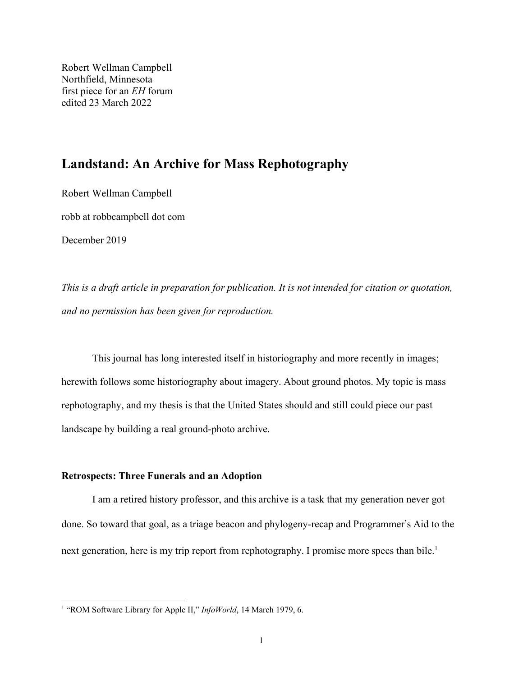Robert Wellman Campbell Northfield, Minnesota first piece for an *EH* forum edited 23 March 2022

# **Landstand: An Archive for Mass Rephotography**

Robert Wellman Campbell

robb at robbcampbell dot com

December 2019

*This is a draft article in preparation for publication. It is not intended for citation or quotation, and no permission has been given for reproduction.*

This journal has long interested itself in historiography and more recently in images; herewith follows some historiography about imagery. About ground photos. My topic is mass rephotography, and my thesis is that the United States should and still could piece our past landscape by building a real ground-photo archive.

### **Retrospects: Three Funerals and an Adoption**

I am a retired history professor, and this archive is a task that my generation never got done. So toward that goal, as a triage beacon and phylogeny-recap and Programmer's Aid to the next generation, here is my trip report from rephotography. I promise more specs than bile.<sup>1</sup>

<sup>&</sup>lt;sup>1</sup> "ROM Software Library for Apple II," *InfoWorld*, 14 March 1979, 6.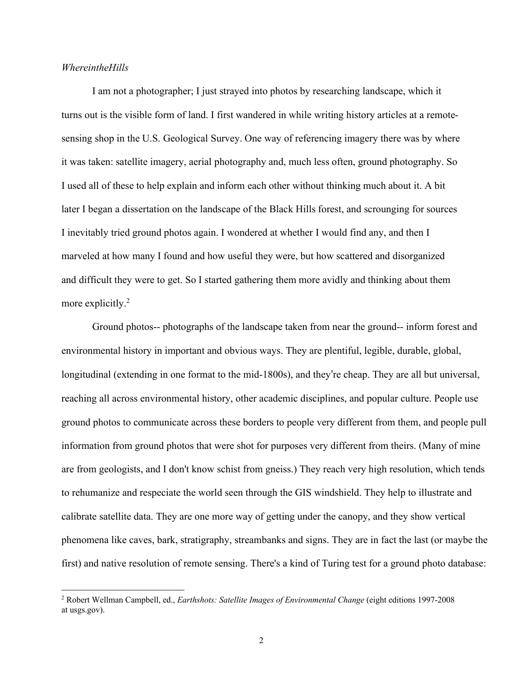#### *WhereintheHills*

I am not a photographer; I just strayed into photos by researching landscape, which it turns out is the visible form of land. I first wandered in while writing history articles at a remotesensing shop in the U.S. Geological Survey. One way of referencing imagery there was by where it was taken: satellite imagery, aerial photography and, much less often, ground photography. So I used all of these to help explain and inform each other without thinking much about it. A bit later I began a dissertation on the landscape of the Black Hills forest, and scrounging for sources I inevitably tried ground photos again. I wondered at whether I would find any, and then I marveled at how many I found and how useful they were, but how scattered and disorganized and difficult they were to get. So I started gathering them more avidly and thinking about them more explicitly.<sup>2</sup>

Ground photos-- photographs of the landscape taken from near the ground-- inform forest and environmental history in important and obvious ways. They are plentiful, legible, durable, global, longitudinal (extending in one format to the mid-1800s), and they're cheap. They are all but universal, reaching all across environmental history, other academic disciplines, and popular culture. People use ground photos to communicate across these borders to people very different from them, and people pull information from ground photos that were shot for purposes very different from theirs. (Many of mine are from geologists, and I don't know schist from gneiss.) They reach very high resolution, which tends to rehumanize and respeciate the world seen through the GIS windshield. They help to illustrate and calibrate satellite data. They are one more way of getting under the canopy, and they show vertical phenomena like caves, bark, stratigraphy, streambanks and signs. They are in fact the last (or maybe the first) and native resolution of remote sensing. There's a kind of Turing test for a ground photo database:

<sup>2</sup> Robert Wellman Campbell, ed., *Earthshots: Satellite Images of Environmental Change* (eight editions 1997-2008 at usgs.gov).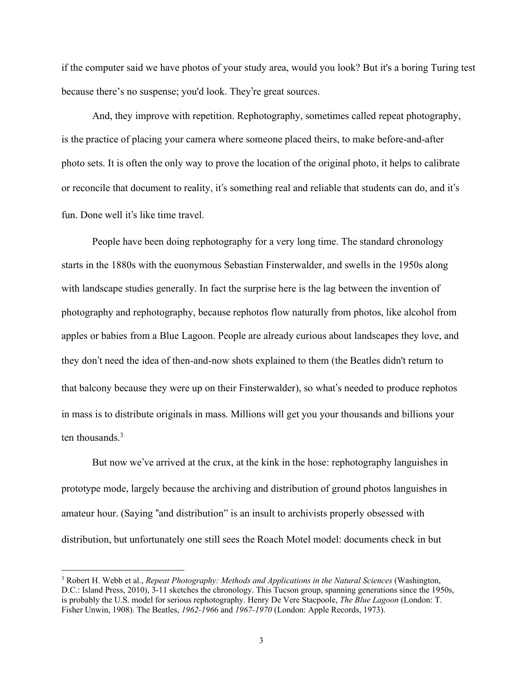if the computer said we have photos of your study area, would you look? But it's a boring Turing test because there's no suspense; you'd look. They're great sources.

And, they improve with repetition. Rephotography, sometimes called repeat photography, is the practice of placing your camera where someone placed theirs, to make before-and-after photo sets. It is often the only way to prove the location of the original photo, it helps to calibrate or reconcile that document to reality, it's something real and reliable that students can do, and it's fun. Done well it's like time travel.

People have been doing rephotography for a very long time. The standard chronology starts in the 1880s with the euonymous Sebastian Finsterwalder, and swells in the 1950s along with landscape studies generally. In fact the surprise here is the lag between the invention of photography and rephotography, because rephotos flow naturally from photos, like alcohol from apples or babies from a Blue Lagoon. People are already curious about landscapes they love, and they don't need the idea of then-and-now shots explained to them (the Beatles didn't return to that balcony because they were up on their Finsterwalder), so what's needed to produce rephotos in mass is to distribute originals in mass. Millions will get you your thousands and billions your ten thousands.<sup>3</sup>

But now we've arrived at the crux, at the kink in the hose: rephotography languishes in prototype mode, largely because the archiving and distribution of ground photos languishes in amateur hour. (Saying "and distribution" is an insult to archivists properly obsessed with distribution, but unfortunately one still sees the Roach Motel model: documents check in but

<sup>3</sup> Robert H. Webb et al., *Repeat Photography: Methods and Applications in the Natural Sciences* (Washington, D.C.: Island Press, 2010), 3-11 sketches the chronology. This Tucson group, spanning generations since the 1950s, is probably the U.S. model for serious rephotography. Henry De Vere Stacpoole, *The Blue Lagoon* (London: T. Fisher Unwin, 1908). The Beatles, *1962-196*6 and *1967-1970* (London: Apple Records, 1973).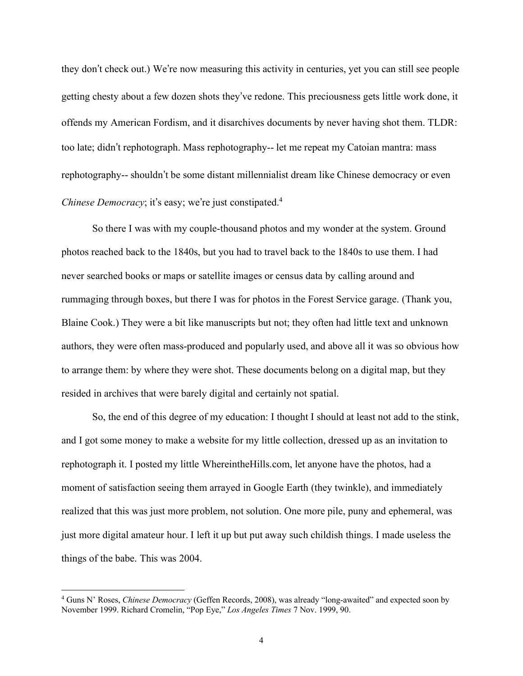they don't check out.) We're now measuring this activity in centuries, yet you can still see people getting chesty about a few dozen shots they've redone. This preciousness gets little work done, it offends my American Fordism, and it disarchives documents by never having shot them. TLDR: too late; didn't rephotograph. Mass rephotography-- let me repeat my Catoian mantra: mass rephotography-- shouldn't be some distant millennialist dream like Chinese democracy or even *Chinese Democracy*; it's easy; we're just constipated.<sup>4</sup>

So there I was with my couple-thousand photos and my wonder at the system. Ground photos reached back to the 1840s, but you had to travel back to the 1840s to use them. I had never searched books or maps or satellite images or census data by calling around and rummaging through boxes, but there I was for photos in the Forest Service garage. (Thank you, Blaine Cook.) They were a bit like manuscripts but not; they often had little text and unknown authors, they were often mass-produced and popularly used, and above all it was so obvious how to arrange them: by where they were shot. These documents belong on a digital map, but they resided in archives that were barely digital and certainly not spatial.

So, the end of this degree of my education: I thought I should at least not add to the stink, and I got some money to make a website for my little collection, dressed up as an invitation to rephotograph it. I posted my little WhereintheHills.com, let anyone have the photos, had a moment of satisfaction seeing them arrayed in Google Earth (they twinkle), and immediately realized that this was just more problem, not solution. One more pile, puny and ephemeral, was just more digital amateur hour. I left it up but put away such childish things. I made useless the things of the babe. This was 2004.

<sup>4</sup> Guns N' Roses, *Chinese Democracy* (Geffen Records, 2008), was already "long-awaited" and expected soon by November 1999. Richard Cromelin, "Pop Eye," *Los Angeles Times* 7 Nov. 1999, 90.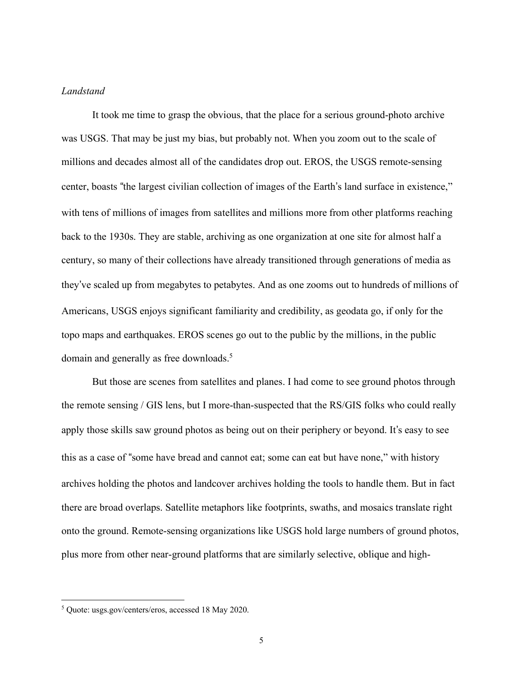#### *Landstand*

It took me time to grasp the obvious, that the place for a serious ground-photo archive was USGS. That may be just my bias, but probably not. When you zoom out to the scale of millions and decades almost all of the candidates drop out. EROS, the USGS remote-sensing center, boasts "the largest civilian collection of images of the Earth's land surface in existence," with tens of millions of images from satellites and millions more from other platforms reaching back to the 1930s. They are stable, archiving as one organization at one site for almost half a century, so many of their collections have already transitioned through generations of media as they've scaled up from megabytes to petabytes. And as one zooms out to hundreds of millions of Americans, USGS enjoys significant familiarity and credibility, as geodata go, if only for the topo maps and earthquakes. EROS scenes go out to the public by the millions, in the public domain and generally as free downloads.<sup>5</sup>

But those are scenes from satellites and planes. I had come to see ground photos through the remote sensing / GIS lens, but I more-than-suspected that the RS/GIS folks who could really apply those skills saw ground photos as being out on their periphery or beyond. It's easy to see this as a case of "some have bread and cannot eat; some can eat but have none," with history archives holding the photos and landcover archives holding the tools to handle them. But in fact there are broad overlaps. Satellite metaphors like footprints, swaths, and mosaics translate right onto the ground. Remote-sensing organizations like USGS hold large numbers of ground photos, plus more from other near-ground platforms that are similarly selective, oblique and high-

<sup>5</sup> Quote: usgs.gov/centers/eros, accessed 18 May 2020.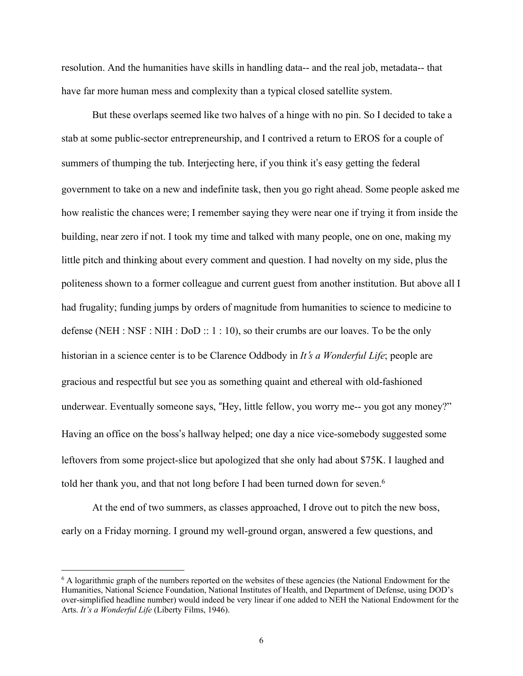resolution. And the humanities have skills in handling data-- and the real job, metadata-- that have far more human mess and complexity than a typical closed satellite system.

But these overlaps seemed like two halves of a hinge with no pin. So I decided to take a stab at some public-sector entrepreneurship, and I contrived a return to EROS for a couple of summers of thumping the tub. Interjecting here, if you think it's easy getting the federal government to take on a new and indefinite task, then you go right ahead. Some people asked me how realistic the chances were; I remember saying they were near one if trying it from inside the building, near zero if not. I took my time and talked with many people, one on one, making my little pitch and thinking about every comment and question. I had novelty on my side, plus the politeness shown to a former colleague and current guest from another institution. But above all I had frugality; funding jumps by orders of magnitude from humanities to science to medicine to defense (NEH : NSF : NIH : DoD  $:: 1 : 10$ ), so their crumbs are our loaves. To be the only historian in a science center is to be Clarence Oddbody in *It*'s *a Wonderful Life*; people are gracious and respectful but see you as something quaint and ethereal with old-fashioned underwear. Eventually someone says, "Hey, little fellow, you worry me-- you got any money?" Having an office on the boss's hallway helped; one day a nice vice-somebody suggested some leftovers from some project-slice but apologized that she only had about \$75K. I laughed and told her thank you, and that not long before I had been turned down for seven.<sup>6</sup>

At the end of two summers, as classes approached, I drove out to pitch the new boss, early on a Friday morning. I ground my well-ground organ, answered a few questions, and

<sup>&</sup>lt;sup>6</sup> A logarithmic graph of the numbers reported on the websites of these agencies (the National Endowment for the Humanities, National Science Foundation, National Institutes of Health, and Department of Defense, using DOD's over-simplified headline number) would indeed be very linear if one added to NEH the National Endowment for the Arts. *It's a Wonderful Life* (Liberty Films, 1946).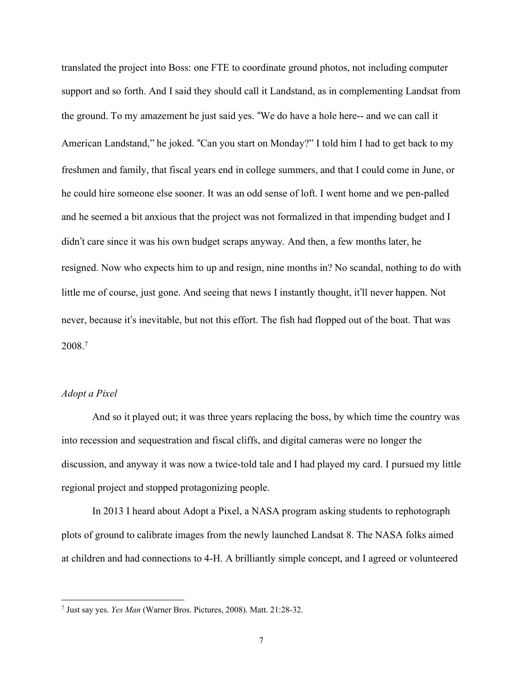translated the project into Boss: one FTE to coordinate ground photos, not including computer support and so forth. And I said they should call it Landstand, as in complementing Landsat from the ground. To my amazement he just said yes. "We do have a hole here-- and we can call it American Landstand," he joked. "Can you start on Monday?" I told him I had to get back to my freshmen and family, that fiscal years end in college summers, and that I could come in June, or he could hire someone else sooner. It was an odd sense of loft. I went home and we pen-palled and he seemed a bit anxious that the project was not formalized in that impending budget and I didn't care since it was his own budget scraps anyway. And then, a few months later, he resigned. Now who expects him to up and resign, nine months in? No scandal, nothing to do with little me of course, just gone. And seeing that news I instantly thought, it'll never happen. Not never, because it's inevitable, but not this effort. The fish had flopped out of the boat. That was 2008.7

## *Adopt a Pixel*

And so it played out; it was three years replacing the boss, by which time the country was into recession and sequestration and fiscal cliffs, and digital cameras were no longer the discussion, and anyway it was now a twice-told tale and I had played my card. I pursued my little regional project and stopped protagonizing people.

In 2013 I heard about Adopt a Pixel, a NASA program asking students to rephotograph plots of ground to calibrate images from the newly launched Landsat 8. The NASA folks aimed at children and had connections to 4-H. A brilliantly simple concept, and I agreed or volunteered

<sup>7</sup> Just say yes. *Yes Man* (Warner Bros. Pictures, 2008). Matt. 21:28-32.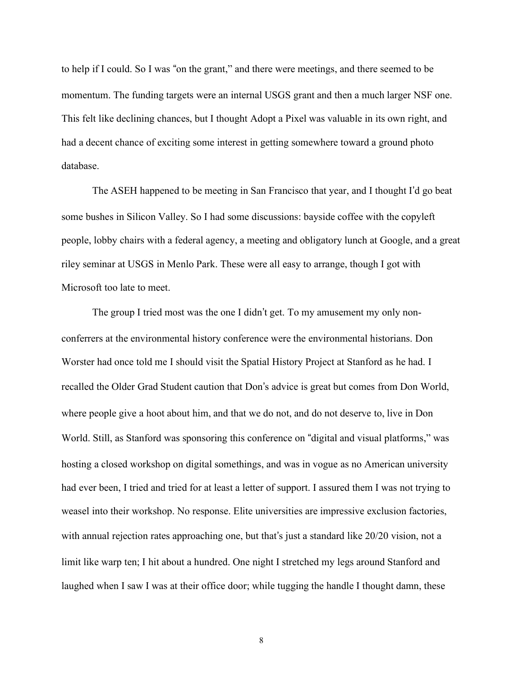to help if I could. So I was "on the grant," and there were meetings, and there seemed to be momentum. The funding targets were an internal USGS grant and then a much larger NSF one. This felt like declining chances, but I thought Adopt a Pixel was valuable in its own right, and had a decent chance of exciting some interest in getting somewhere toward a ground photo database.

The ASEH happened to be meeting in San Francisco that year, and I thought I'd go beat some bushes in Silicon Valley. So I had some discussions: bayside coffee with the copyleft people, lobby chairs with a federal agency, a meeting and obligatory lunch at Google, and a great riley seminar at USGS in Menlo Park. These were all easy to arrange, though I got with Microsoft too late to meet.

The group I tried most was the one I didn't get. To my amusement my only nonconferrers at the environmental history conference were the environmental historians. Don Worster had once told me I should visit the Spatial History Project at Stanford as he had. I recalled the Older Grad Student caution that Don's advice is great but comes from Don World, where people give a hoot about him, and that we do not, and do not deserve to, live in Don World. Still, as Stanford was sponsoring this conference on "digital and visual platforms," was hosting a closed workshop on digital somethings, and was in vogue as no American university had ever been, I tried and tried for at least a letter of support. I assured them I was not trying to weasel into their workshop. No response. Elite universities are impressive exclusion factories, with annual rejection rates approaching one, but that's just a standard like 20/20 vision, not a limit like warp ten; I hit about a hundred. One night I stretched my legs around Stanford and laughed when I saw I was at their office door; while tugging the handle I thought damn, these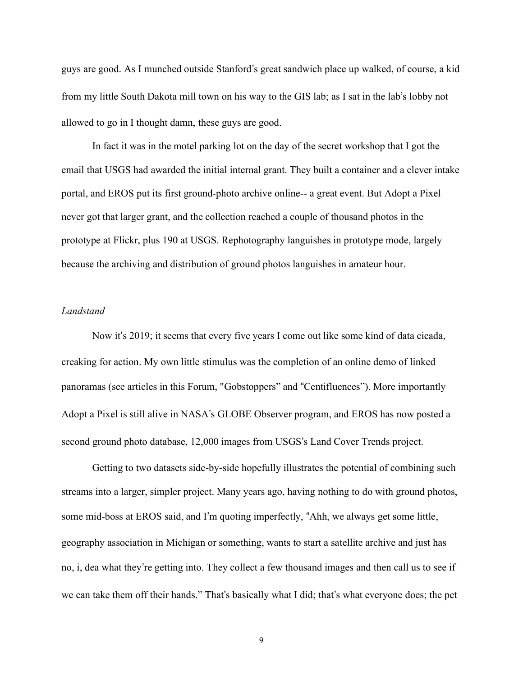guys are good. As I munched outside Stanford's great sandwich place up walked, of course, a kid from my little South Dakota mill town on his way to the GIS lab; as I sat in the lab's lobby not allowed to go in I thought damn, these guys are good.

In fact it was in the motel parking lot on the day of the secret workshop that I got the email that USGS had awarded the initial internal grant. They built a container and a clever intake portal, and EROS put its first ground-photo archive online-- a great event. But Adopt a Pixel never got that larger grant, and the collection reached a couple of thousand photos in the prototype at Flickr, plus 190 at USGS. Rephotography languishes in prototype mode, largely because the archiving and distribution of ground photos languishes in amateur hour.

## *Landstand*

Now it's 2019; it seems that every five years I come out like some kind of data cicada, creaking for action. My own little stimulus was the completion of an online demo of linked panoramas (see articles in this Forum, "Gobstoppers" and "Centifluences"). More importantly Adopt a Pixel is still alive in NASA's GLOBE Observer program, and EROS has now posted a second ground photo database, 12,000 images from USGS's Land Cover Trends project.

Getting to two datasets side-by-side hopefully illustrates the potential of combining such streams into a larger, simpler project. Many years ago, having nothing to do with ground photos, some mid-boss at EROS said, and I'm quoting imperfectly, "Ahh, we always get some little, geography association in Michigan or something, wants to start a satellite archive and just has no, i, dea what they're getting into. They collect a few thousand images and then call us to see if we can take them off their hands." That's basically what I did; that's what everyone does; the pet

9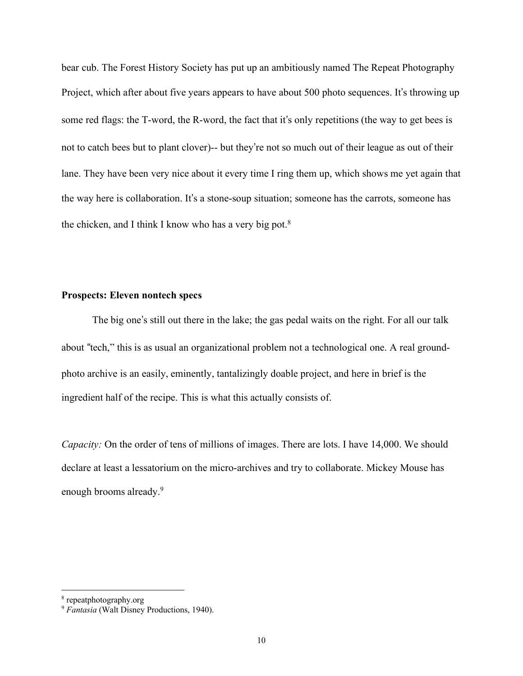bear cub. The Forest History Society has put up an ambitiously named The Repeat Photography Project, which after about five years appears to have about 500 photo sequences. It's throwing up some red flags: the T-word, the R-word, the fact that it's only repetitions (the way to get bees is not to catch bees but to plant clover)-- but they're not so much out of their league as out of their lane. They have been very nice about it every time I ring them up, which shows me yet again that the way here is collaboration. It's a stone-soup situation; someone has the carrots, someone has the chicken, and I think I know who has a very big pot.<sup>8</sup>

## **Prospects: Eleven nontech specs**

The big one's still out there in the lake; the gas pedal waits on the right. For all our talk about "tech," this is as usual an organizational problem not a technological one. A real groundphoto archive is an easily, eminently, tantalizingly doable project, and here in brief is the ingredient half of the recipe. This is what this actually consists of.

*Capacity:* On the order of tens of millions of images. There are lots. I have 14,000. We should declare at least a lessatorium on the micro-archives and try to collaborate. Mickey Mouse has enough brooms already.<sup>9</sup>

<sup>8</sup> repeatphotography.org

<sup>9</sup> *Fantasia* (Walt Disney Productions, 1940).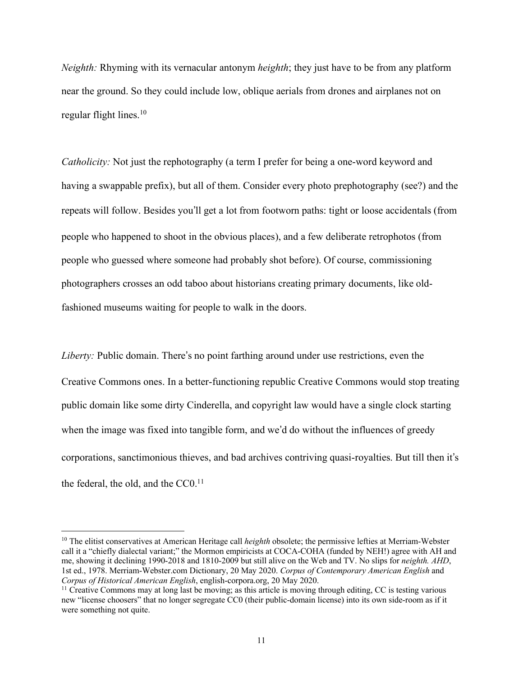*Neighth:* Rhyming with its vernacular antonym *heighth*; they just have to be from any platform near the ground. So they could include low, oblique aerials from drones and airplanes not on regular flight lines. $10$ 

*Catholicity:* Not just the rephotography (a term I prefer for being a one-word keyword and having a swappable prefix), but all of them. Consider every photo prephotography (see?) and the repeats will follow. Besides you'll get a lot from footworn paths: tight or loose accidentals (from people who happened to shoot in the obvious places), and a few deliberate retrophotos (from people who guessed where someone had probably shot before). Of course, commissioning photographers crosses an odd taboo about historians creating primary documents, like oldfashioned museums waiting for people to walk in the doors.

*Liberty:* Public domain. There's no point farthing around under use restrictions, even the Creative Commons ones. In a better-functioning republic Creative Commons would stop treating public domain like some dirty Cinderella, and copyright law would have a single clock starting when the image was fixed into tangible form, and we'd do without the influences of greedy corporations, sanctimonious thieves, and bad archives contriving quasi-royalties. But till then it's the federal, the old, and the  $CC<sub>0</sub>$ .<sup>11</sup>

<sup>10</sup> The elitist conservatives at American Heritage call *heighth* obsolete; the permissive lefties at Merriam-Webster call it a "chiefly dialectal variant;" the Mormon empiricists at COCA-COHA (funded by NEH!) agree with AH and me, showing it declining 1990-2018 and 1810-2009 but still alive on the Web and TV. No slips for *neighth. AHD*, 1st ed., 1978. Merriam-Webster.com Dictionary, 20 May 2020. *Corpus of Contemporary American English* and *Corpus of Historical American English*, english-corpora.org, 20 May 2020.

<sup>&</sup>lt;sup>11</sup> Creative Commons may at long last be moving; as this article is moving through editing, CC is testing various new "license choosers" that no longer segregate CC0 (their public-domain license) into its own side-room as if it were something not quite.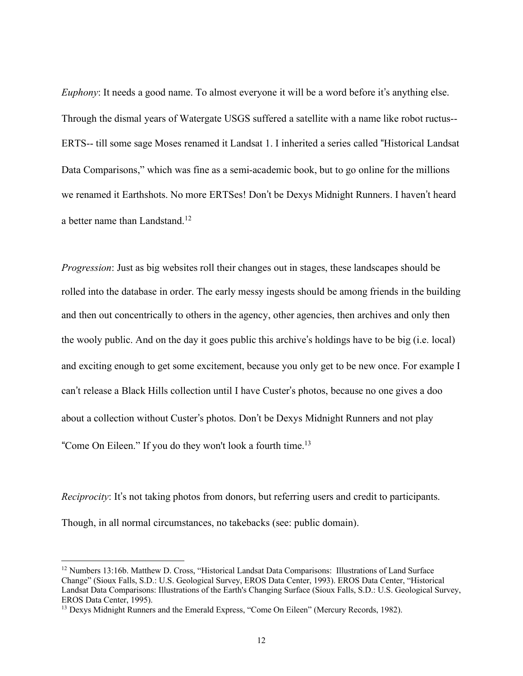*Euphony*: It needs a good name. To almost everyone it will be a word before it's anything else. Through the dismal years of Watergate USGS suffered a satellite with a name like robot ructus-- ERTS-- till some sage Moses renamed it Landsat 1. I inherited a series called "Historical Landsat Data Comparisons," which was fine as a semi-academic book, but to go online for the millions we renamed it Earthshots. No more ERTSes! Don't be Dexys Midnight Runners. I haven't heard a better name than Landstand.<sup>12</sup>

*Progression*: Just as big websites roll their changes out in stages, these landscapes should be rolled into the database in order. The early messy ingests should be among friends in the building and then out concentrically to others in the agency, other agencies, then archives and only then the wooly public. And on the day it goes public this archive's holdings have to be big (i.e. local) and exciting enough to get some excitement, because you only get to be new once. For example I can't release a Black Hills collection until I have Custer's photos, because no one gives a doo about a collection without Custer's photos. Don't be Dexys Midnight Runners and not play "Come On Eileen." If you do they won't look a fourth time.<sup>13</sup>

*Reciprocity*: It's not taking photos from donors, but referring users and credit to participants. Though, in all normal circumstances, no takebacks (see: public domain).

<sup>12</sup> Numbers 13:16b. Matthew D. Cross, "Historical Landsat Data Comparisons: Illustrations of Land Surface Change" (Sioux Falls, S.D.: U.S. Geological Survey, EROS Data Center, 1993). EROS Data Center, "Historical Landsat Data Comparisons: Illustrations of the Earth's Changing Surface (Sioux Falls, S.D.: U.S. Geological Survey, EROS Data Center, 1995).

<sup>&</sup>lt;sup>13</sup> Dexys Midnight Runners and the Emerald Express, "Come On Eileen" (Mercury Records, 1982).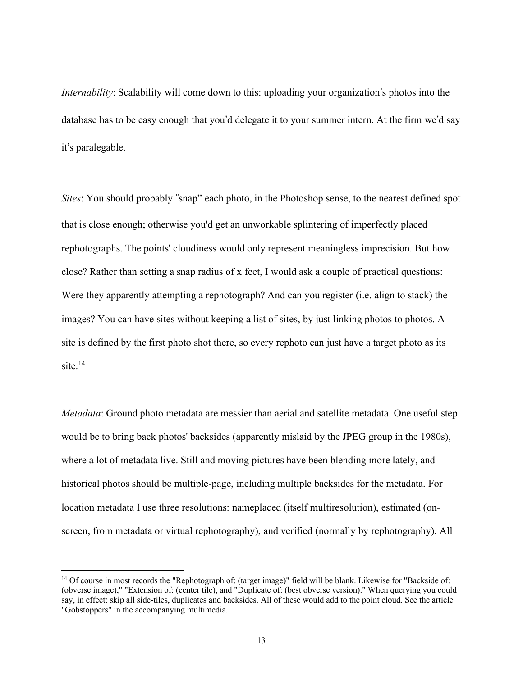*Internability*: Scalability will come down to this: uploading your organization's photos into the database has to be easy enough that you'd delegate it to your summer intern. At the firm we'd say it's paralegable.

*Sites*: You should probably "snap" each photo, in the Photoshop sense, to the nearest defined spot that is close enough; otherwise you'd get an unworkable splintering of imperfectly placed rephotographs. The points' cloudiness would only represent meaningless imprecision. But how close? Rather than setting a snap radius of x feet, I would ask a couple of practical questions: Were they apparently attempting a rephotograph? And can you register (i.e. align to stack) the images? You can have sites without keeping a list of sites, by just linking photos to photos. A site is defined by the first photo shot there, so every rephoto can just have a target photo as its site. 14

*Metadata*: Ground photo metadata are messier than aerial and satellite metadata. One useful step would be to bring back photos' backsides (apparently mislaid by the JPEG group in the 1980s), where a lot of metadata live. Still and moving pictures have been blending more lately, and historical photos should be multiple-page, including multiple backsides for the metadata. For location metadata I use three resolutions: nameplaced (itself multiresolution), estimated (onscreen, from metadata or virtual rephotography), and verified (normally by rephotography). All

<sup>&</sup>lt;sup>14</sup> Of course in most records the "Rephotograph of: (target image)" field will be blank. Likewise for "Backside of: (obverse image)," "Extension of: (center tile), and "Duplicate of: (best obverse version)." When querying you could say, in effect: skip all side-tiles, duplicates and backsides. All of these would add to the point cloud. See the article "Gobstoppers" in the accompanying multimedia.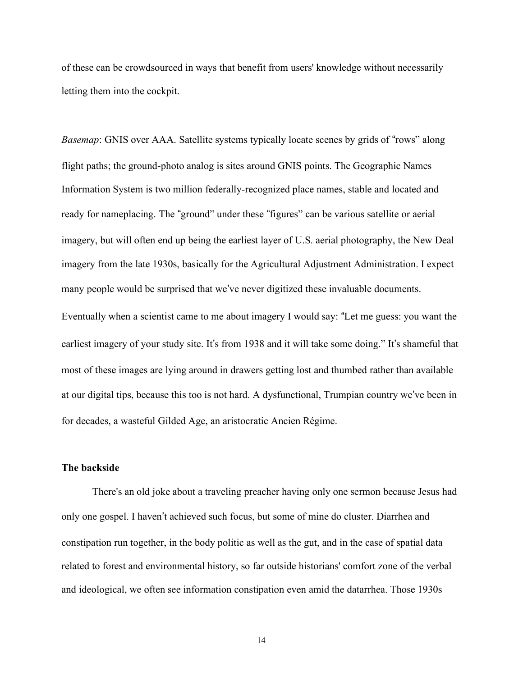of these can be crowdsourced in ways that benefit from users' knowledge without necessarily letting them into the cockpit.

*Basemap*: GNIS over AAA. Satellite systems typically locate scenes by grids of "rows" along flight paths; the ground-photo analog is sites around GNIS points. The Geographic Names Information System is two million federally-recognized place names, stable and located and ready for nameplacing. The "ground" under these "figures" can be various satellite or aerial imagery, but will often end up being the earliest layer of U.S. aerial photography, the New Deal imagery from the late 1930s, basically for the Agricultural Adjustment Administration. I expect many people would be surprised that we've never digitized these invaluable documents.

Eventually when a scientist came to me about imagery I would say: "Let me guess: you want the earliest imagery of your study site. It's from 1938 and it will take some doing." It's shameful that most of these images are lying around in drawers getting lost and thumbed rather than available at our digital tips, because this too is not hard. A dysfunctional, Trumpian country we've been in for decades, a wasteful Gilded Age, an aristocratic Ancien Régime.

#### **The backside**

There's an old joke about a traveling preacher having only one sermon because Jesus had only one gospel. I haven't achieved such focus, but some of mine do cluster. Diarrhea and constipation run together, in the body politic as well as the gut, and in the case of spatial data related to forest and environmental history, so far outside historians' comfort zone of the verbal and ideological, we often see information constipation even amid the datarrhea. Those 1930s

14